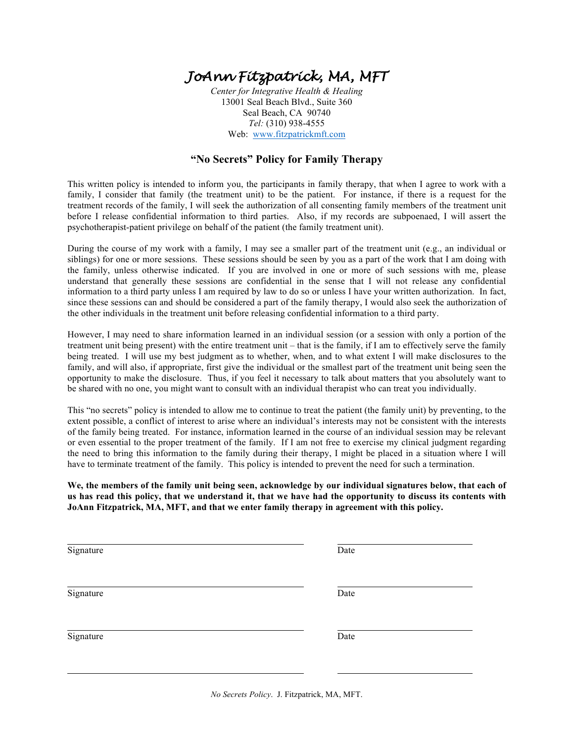## *JoAnn Fitzpatrick, MA, MFT*

*Center for Integrative Health & Healing* 13001 Seal Beach Blvd., Suite 360 Seal Beach, CA 90740 *Tel:* (310) 938-4555 Web: www.fitzpatrickmft.com

## **"No Secrets" Policy for Family Therapy**

This written policy is intended to inform you, the participants in family therapy, that when I agree to work with a family, I consider that family (the treatment unit) to be the patient. For instance, if there is a request for the treatment records of the family, I will seek the authorization of all consenting family members of the treatment unit before I release confidential information to third parties. Also, if my records are subpoenaed, I will assert the psychotherapist-patient privilege on behalf of the patient (the family treatment unit).

During the course of my work with a family, I may see a smaller part of the treatment unit (e.g., an individual or siblings) for one or more sessions. These sessions should be seen by you as a part of the work that I am doing with the family, unless otherwise indicated. If you are involved in one or more of such sessions with me, please understand that generally these sessions are confidential in the sense that I will not release any confidential information to a third party unless I am required by law to do so or unless I have your written authorization. In fact, since these sessions can and should be considered a part of the family therapy, I would also seek the authorization of the other individuals in the treatment unit before releasing confidential information to a third party.

However, I may need to share information learned in an individual session (or a session with only a portion of the treatment unit being present) with the entire treatment unit – that is the family, if I am to effectively serve the family being treated. I will use my best judgment as to whether, when, and to what extent I will make disclosures to the family, and will also, if appropriate, first give the individual or the smallest part of the treatment unit being seen the opportunity to make the disclosure. Thus, if you feel it necessary to talk about matters that you absolutely want to be shared with no one, you might want to consult with an individual therapist who can treat you individually.

This "no secrets" policy is intended to allow me to continue to treat the patient (the family unit) by preventing, to the extent possible, a conflict of interest to arise where an individual's interests may not be consistent with the interests of the family being treated. For instance, information learned in the course of an individual session may be relevant or even essential to the proper treatment of the family. If I am not free to exercise my clinical judgment regarding the need to bring this information to the family during their therapy, I might be placed in a situation where I will have to terminate treatment of the family. This policy is intended to prevent the need for such a termination.

**We, the members of the family unit being seen, acknowledge by our individual signatures below, that each of us has read this policy, that we understand it, that we have had the opportunity to discuss its contents with JoAnn Fitzpatrick, MA, MFT, and that we enter family therapy in agreement with this policy.**

| Signature | Date |
|-----------|------|
| Signature | Date |
|           |      |
| Signature | Date |
|           |      |